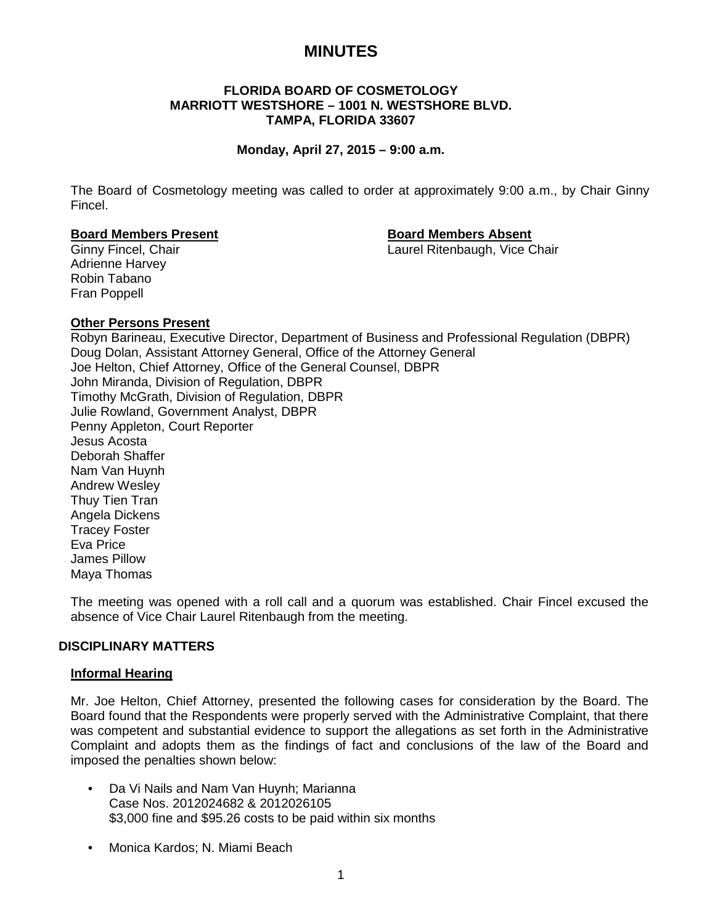# **MINUTES**

# **FLORIDA BOARD OF COSMETOLOGY MARRIOTT WESTSHORE – 1001 N. WESTSHORE BLVD. TAMPA, FLORIDA 33607**

## **Monday, April 27, 2015 – 9:00 a.m.**

The Board of Cosmetology meeting was called to order at approximately 9:00 a.m., by Chair Ginny Fincel.

### **Board Members Present Board Members Absent**

Ginny Fincel, Chair **Laurel Ritenbaugh, Vice Chair** Laurel Ritenbaugh, Vice Chair

Adrienne Harvey Robin Tabano Fran Poppell

# **Other Persons Present**

Robyn Barineau, Executive Director, Department of Business and Professional Regulation (DBPR) Doug Dolan, Assistant Attorney General, Office of the Attorney General Joe Helton, Chief Attorney, Office of the General Counsel, DBPR John Miranda, Division of Regulation, DBPR Timothy McGrath, Division of Regulation, DBPR Julie Rowland, Government Analyst, DBPR Penny Appleton, Court Reporter Jesus Acosta Deborah Shaffer Nam Van Huynh Andrew Wesley Thuy Tien Tran Angela Dickens Tracey Foster Eva Price James Pillow Maya Thomas

The meeting was opened with a roll call and a quorum was established. Chair Fincel excused the absence of Vice Chair Laurel Ritenbaugh from the meeting.

# **DISCIPLINARY MATTERS**

### **Informal Hearing**

Mr. Joe Helton, Chief Attorney, presented the following cases for consideration by the Board. The Board found that the Respondents were properly served with the Administrative Complaint, that there was competent and substantial evidence to support the allegations as set forth in the Administrative Complaint and adopts them as the findings of fact and conclusions of the law of the Board and imposed the penalties shown below:

- Da Vi Nails and Nam Van Huynh; Marianna Case Nos. 2012024682 & 2012026105 \$3,000 fine and \$95.26 costs to be paid within six months
- Monica Kardos; N. Miami Beach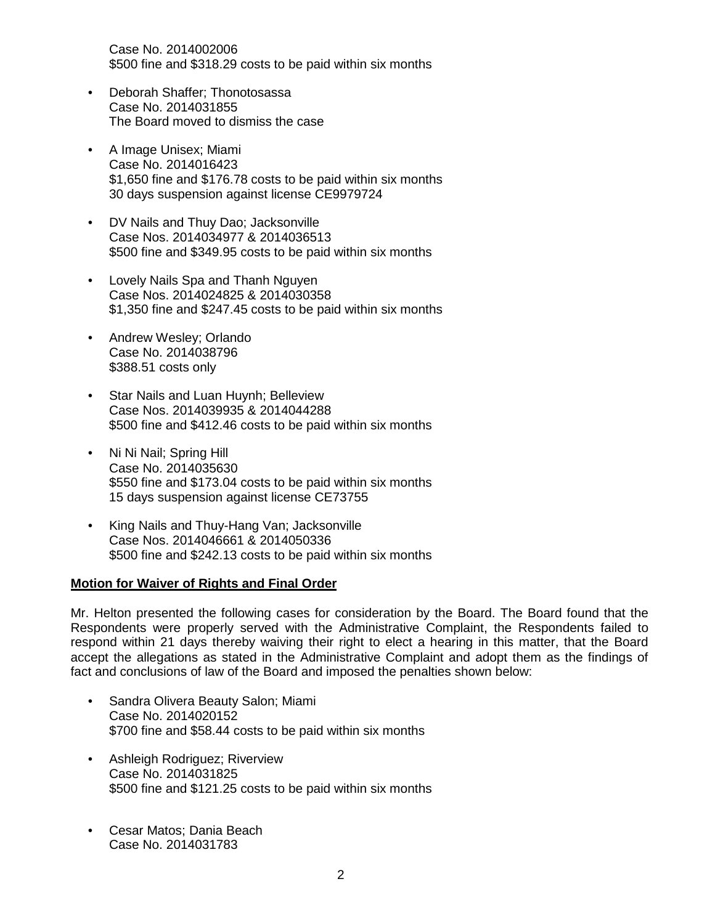Case No. 2014002006 \$500 fine and \$318.29 costs to be paid within six months

- Deborah Shaffer; Thonotosassa Case No. 2014031855 The Board moved to dismiss the case
- A Image Unisex; Miami Case No. 2014016423 \$1,650 fine and \$176.78 costs to be paid within six months 30 days suspension against license CE9979724
- DV Nails and Thuy Dao; Jacksonville Case Nos. 2014034977 & 2014036513 \$500 fine and \$349.95 costs to be paid within six months
- Lovely Nails Spa and Thanh Nguyen Case Nos. 2014024825 & 2014030358 \$1,350 fine and \$247.45 costs to be paid within six months
- Andrew Wesley; Orlando Case No. 2014038796 \$388.51 costs only
- Star Nails and Luan Huynh; Belleview Case Nos. 2014039935 & 2014044288 \$500 fine and \$412.46 costs to be paid within six months
- Ni Ni Nail; Spring Hill Case No. 2014035630 \$550 fine and \$173.04 costs to be paid within six months 15 days suspension against license CE73755
- King Nails and Thuy-Hang Van; Jacksonville Case Nos. 2014046661 & 2014050336 \$500 fine and \$242.13 costs to be paid within six months

# **Motion for Waiver of Rights and Final Order**

Mr. Helton presented the following cases for consideration by the Board. The Board found that the Respondents were properly served with the Administrative Complaint, the Respondents failed to respond within 21 days thereby waiving their right to elect a hearing in this matter, that the Board accept the allegations as stated in the Administrative Complaint and adopt them as the findings of fact and conclusions of law of the Board and imposed the penalties shown below:

- Sandra Olivera Beauty Salon; Miami Case No. 2014020152 \$700 fine and \$58.44 costs to be paid within six months
- Ashleigh Rodriguez; Riverview Case No. 2014031825 \$500 fine and \$121.25 costs to be paid within six months
- Cesar Matos; Dania Beach Case No. 2014031783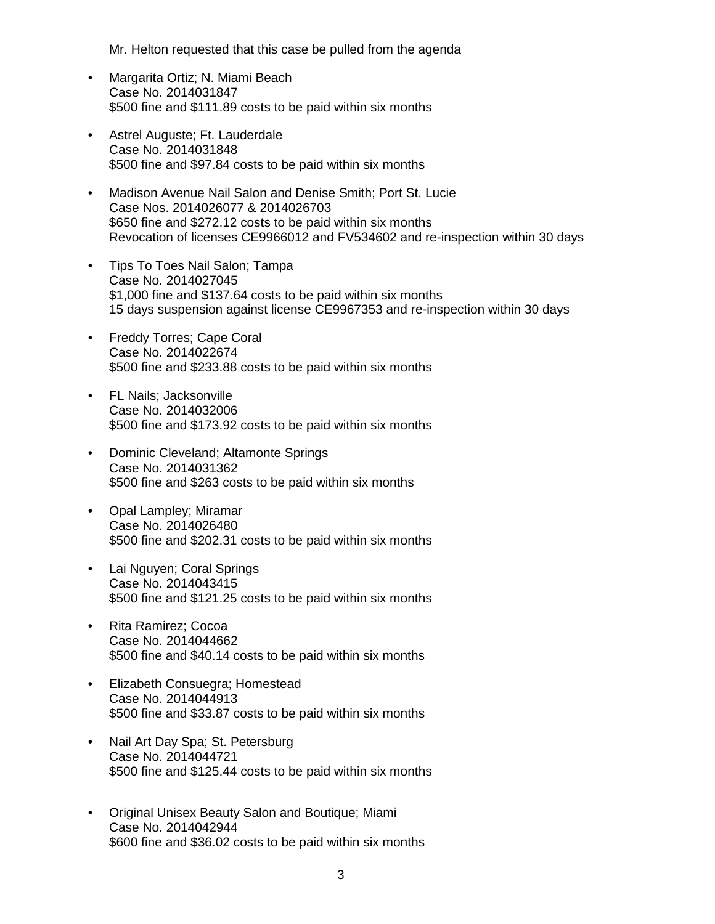Mr. Helton requested that this case be pulled from the agenda

- Margarita Ortiz; N. Miami Beach Case No. 2014031847 \$500 fine and \$111.89 costs to be paid within six months
- Astrel Auguste; Ft. Lauderdale Case No. 2014031848 \$500 fine and \$97.84 costs to be paid within six months
- Madison Avenue Nail Salon and Denise Smith; Port St. Lucie Case Nos. 2014026077 & 2014026703 \$650 fine and \$272.12 costs to be paid within six months Revocation of licenses CE9966012 and FV534602 and re-inspection within 30 days
- Tips To Toes Nail Salon; Tampa Case No. 2014027045 \$1,000 fine and \$137.64 costs to be paid within six months 15 days suspension against license CE9967353 and re-inspection within 30 days
- Freddy Torres; Cape Coral Case No. 2014022674 \$500 fine and \$233.88 costs to be paid within six months
- FL Nails; Jacksonville Case No. 2014032006 \$500 fine and \$173.92 costs to be paid within six months
- Dominic Cleveland; Altamonte Springs Case No. 2014031362 \$500 fine and \$263 costs to be paid within six months
- Opal Lampley; Miramar Case No. 2014026480 \$500 fine and \$202.31 costs to be paid within six months
- Lai Nguyen; Coral Springs Case No. 2014043415 \$500 fine and \$121.25 costs to be paid within six months
- Rita Ramirez; Cocoa Case No. 2014044662 \$500 fine and \$40.14 costs to be paid within six months
- Elizabeth Consuegra; Homestead Case No. 2014044913 \$500 fine and \$33.87 costs to be paid within six months
- Nail Art Day Spa; St. Petersburg Case No. 2014044721 \$500 fine and \$125.44 costs to be paid within six months
- Original Unisex Beauty Salon and Boutique; Miami Case No. 2014042944 \$600 fine and \$36.02 costs to be paid within six months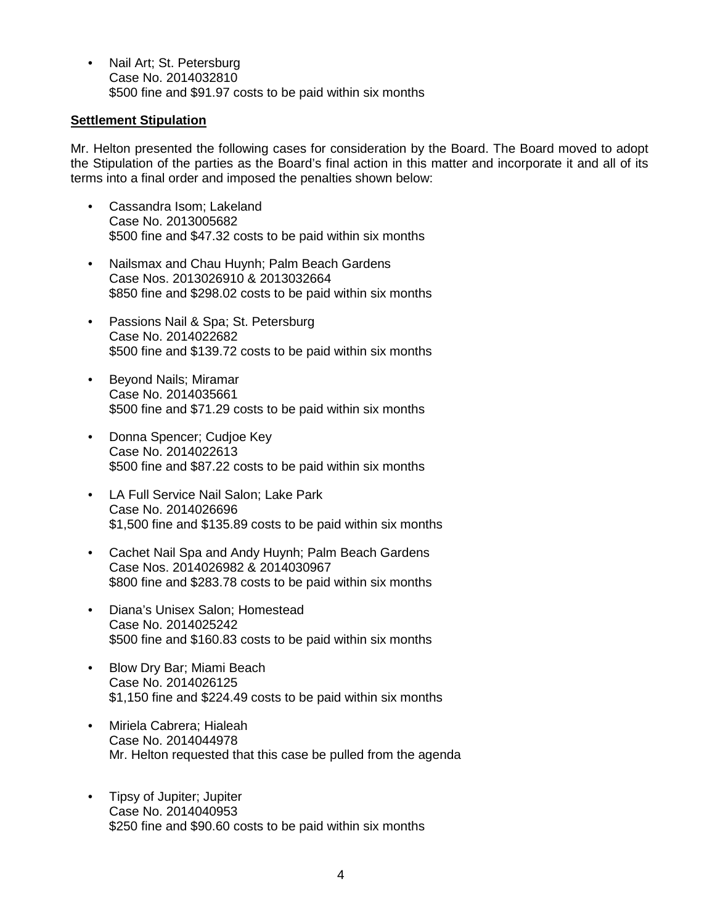• Nail Art; St. Petersburg Case No. 2014032810 \$500 fine and \$91.97 costs to be paid within six months

# **Settlement Stipulation**

Mr. Helton presented the following cases for consideration by the Board. The Board moved to adopt the Stipulation of the parties as the Board's final action in this matter and incorporate it and all of its terms into a final order and imposed the penalties shown below:

- Cassandra Isom; Lakeland Case No. 2013005682 \$500 fine and \$47.32 costs to be paid within six months
- Nailsmax and Chau Huynh; Palm Beach Gardens Case Nos. 2013026910 & 2013032664 \$850 fine and \$298.02 costs to be paid within six months
- Passions Nail & Spa; St. Petersburg Case No. 2014022682 \$500 fine and \$139.72 costs to be paid within six months
- Beyond Nails; Miramar Case No. 2014035661 \$500 fine and \$71.29 costs to be paid within six months
- Donna Spencer; Cudjoe Key Case No. 2014022613 \$500 fine and \$87.22 costs to be paid within six months
- LA Full Service Nail Salon; Lake Park Case No. 2014026696 \$1,500 fine and \$135.89 costs to be paid within six months
- Cachet Nail Spa and Andy Huynh; Palm Beach Gardens Case Nos. 2014026982 & 2014030967 \$800 fine and \$283.78 costs to be paid within six months
- Diana's Unisex Salon; Homestead Case No. 2014025242 \$500 fine and \$160.83 costs to be paid within six months
- Blow Dry Bar; Miami Beach Case No. 2014026125 \$1,150 fine and \$224.49 costs to be paid within six months
- Miriela Cabrera; Hialeah Case No. 2014044978 Mr. Helton requested that this case be pulled from the agenda
- Tipsy of Jupiter; Jupiter Case No. 2014040953 \$250 fine and \$90.60 costs to be paid within six months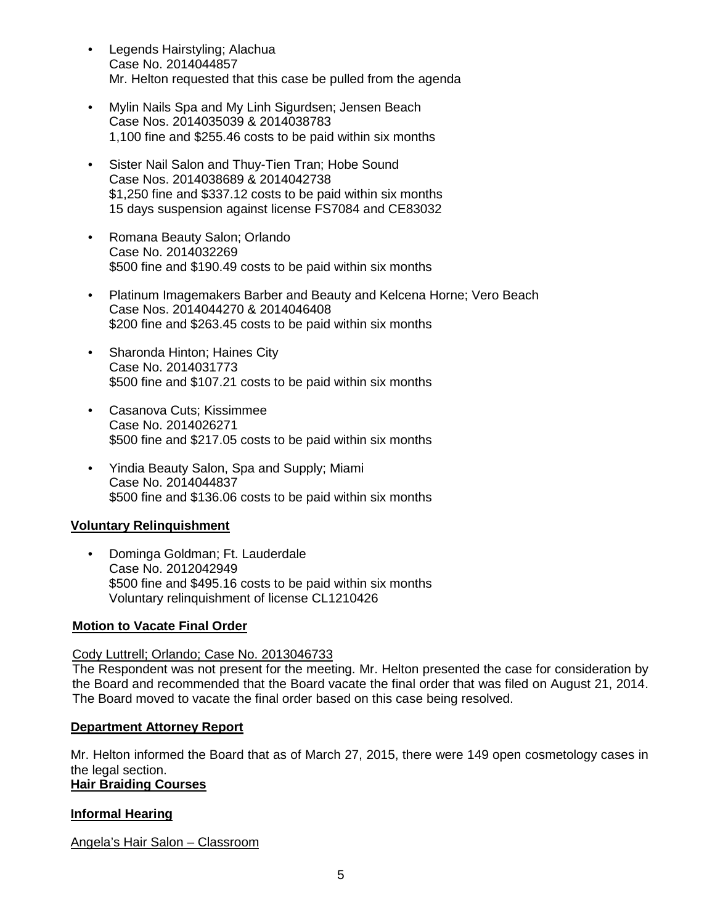- Legends Hairstyling; Alachua Case No. 2014044857 Mr. Helton requested that this case be pulled from the agenda
- Mylin Nails Spa and My Linh Sigurdsen; Jensen Beach Case Nos. 2014035039 & 2014038783 1,100 fine and \$255.46 costs to be paid within six months
- Sister Nail Salon and Thuy-Tien Tran; Hobe Sound Case Nos. 2014038689 & 2014042738 \$1,250 fine and \$337.12 costs to be paid within six months 15 days suspension against license FS7084 and CE83032
- Romana Beauty Salon; Orlando Case No. 2014032269 \$500 fine and \$190.49 costs to be paid within six months
- Platinum Imagemakers Barber and Beauty and Kelcena Horne; Vero Beach Case Nos. 2014044270 & 2014046408 \$200 fine and \$263.45 costs to be paid within six months
- Sharonda Hinton; Haines City Case No. 2014031773 \$500 fine and \$107.21 costs to be paid within six months
- Casanova Cuts; Kissimmee Case No. 2014026271 \$500 fine and \$217.05 costs to be paid within six months
- Yindia Beauty Salon, Spa and Supply; Miami Case No. 2014044837 \$500 fine and \$136.06 costs to be paid within six months

# **Voluntary Relinquishment**

• Dominga Goldman; Ft. Lauderdale Case No. 2012042949 \$500 fine and \$495.16 costs to be paid within six months Voluntary relinquishment of license CL1210426

# **Motion to Vacate Final Order**

# Cody Luttrell; Orlando; Case No. 2013046733

The Respondent was not present for the meeting. Mr. Helton presented the case for consideration by the Board and recommended that the Board vacate the final order that was filed on August 21, 2014. The Board moved to vacate the final order based on this case being resolved.

# **Department Attorney Report**

Mr. Helton informed the Board that as of March 27, 2015, there were 149 open cosmetology cases in the legal section.

# **Hair Braiding Courses**

# **Informal Hearing**

Angela's Hair Salon – Classroom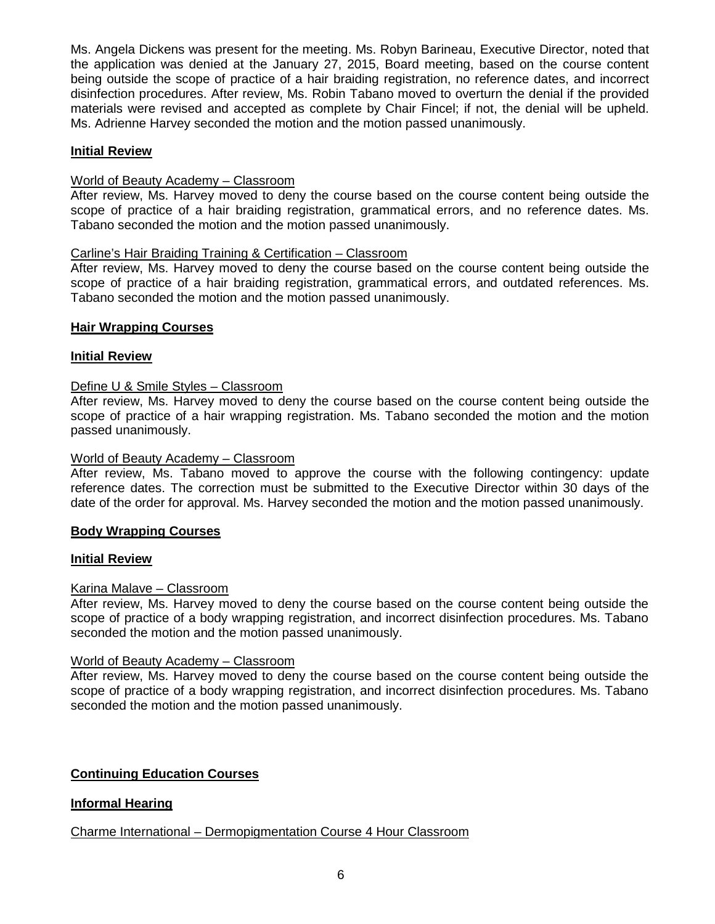Ms. Angela Dickens was present for the meeting. Ms. Robyn Barineau, Executive Director, noted that the application was denied at the January 27, 2015, Board meeting, based on the course content being outside the scope of practice of a hair braiding registration, no reference dates, and incorrect disinfection procedures. After review, Ms. Robin Tabano moved to overturn the denial if the provided materials were revised and accepted as complete by Chair Fincel; if not, the denial will be upheld. Ms. Adrienne Harvey seconded the motion and the motion passed unanimously.

# **Initial Review**

## World of Beauty Academy – Classroom

After review, Ms. Harvey moved to deny the course based on the course content being outside the scope of practice of a hair braiding registration, grammatical errors, and no reference dates. Ms. Tabano seconded the motion and the motion passed unanimously.

# Carline's Hair Braiding Training & Certification – Classroom

After review, Ms. Harvey moved to deny the course based on the course content being outside the scope of practice of a hair braiding registration, grammatical errors, and outdated references. Ms. Tabano seconded the motion and the motion passed unanimously.

# **Hair Wrapping Courses**

# **Initial Review**

# Define U & Smile Styles – Classroom

After review, Ms. Harvey moved to deny the course based on the course content being outside the scope of practice of a hair wrapping registration. Ms. Tabano seconded the motion and the motion passed unanimously.

## World of Beauty Academy – Classroom

After review, Ms. Tabano moved to approve the course with the following contingency: update reference dates. The correction must be submitted to the Executive Director within 30 days of the date of the order for approval. Ms. Harvey seconded the motion and the motion passed unanimously.

### **Body Wrapping Courses**

### **Initial Review**

### Karina Malave – Classroom

After review, Ms. Harvey moved to deny the course based on the course content being outside the scope of practice of a body wrapping registration, and incorrect disinfection procedures. Ms. Tabano seconded the motion and the motion passed unanimously.

### World of Beauty Academy – Classroom

After review, Ms. Harvey moved to deny the course based on the course content being outside the scope of practice of a body wrapping registration, and incorrect disinfection procedures. Ms. Tabano seconded the motion and the motion passed unanimously.

# **Continuing Education Courses**

# **Informal Hearing**

# Charme International – Dermopigmentation Course 4 Hour Classroom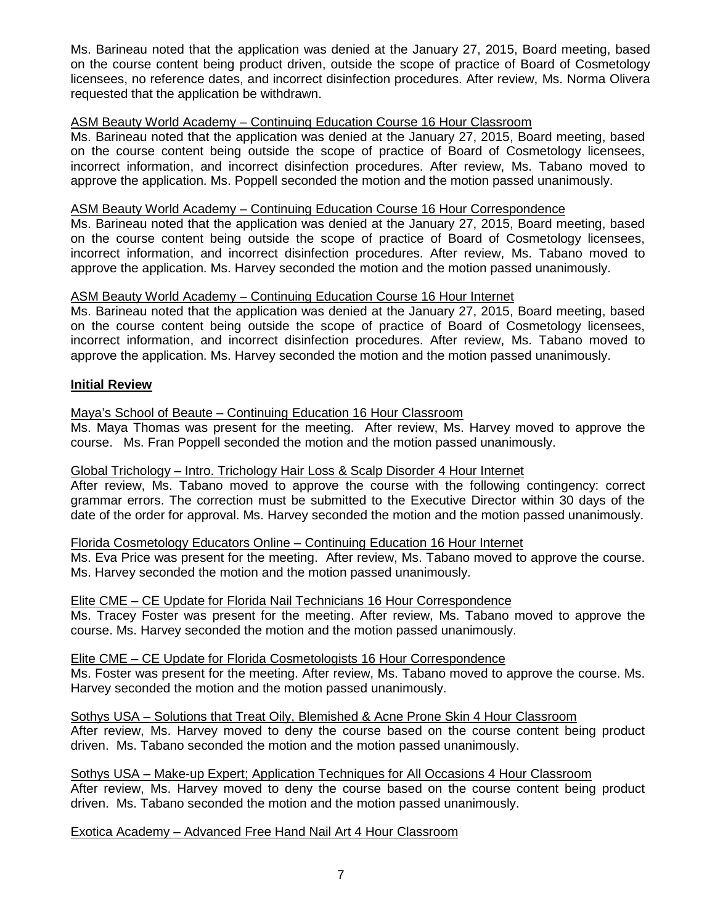Ms. Barineau noted that the application was denied at the January 27, 2015, Board meeting, based on the course content being product driven, outside the scope of practice of Board of Cosmetology licensees, no reference dates, and incorrect disinfection procedures. After review, Ms. Norma Olivera requested that the application be withdrawn.

# ASM Beauty World Academy – Continuing Education Course 16 Hour Classroom

Ms. Barineau noted that the application was denied at the January 27, 2015, Board meeting, based on the course content being outside the scope of practice of Board of Cosmetology licensees, incorrect information, and incorrect disinfection procedures. After review, Ms. Tabano moved to approve the application. Ms. Poppell seconded the motion and the motion passed unanimously.

### ASM Beauty World Academy – Continuing Education Course 16 Hour Correspondence

Ms. Barineau noted that the application was denied at the January 27, 2015, Board meeting, based on the course content being outside the scope of practice of Board of Cosmetology licensees, incorrect information, and incorrect disinfection procedures. After review, Ms. Tabano moved to approve the application. Ms. Harvey seconded the motion and the motion passed unanimously.

# ASM Beauty World Academy – Continuing Education Course 16 Hour Internet

Ms. Barineau noted that the application was denied at the January 27, 2015, Board meeting, based on the course content being outside the scope of practice of Board of Cosmetology licensees, incorrect information, and incorrect disinfection procedures. After review, Ms. Tabano moved to approve the application. Ms. Harvey seconded the motion and the motion passed unanimously.

# **Initial Review**

# Maya's School of Beaute – Continuing Education 16 Hour Classroom

Ms. Maya Thomas was present for the meeting. After review, Ms. Harvey moved to approve the course. Ms. Fran Poppell seconded the motion and the motion passed unanimously.

### Global Trichology – Intro. Trichology Hair Loss & Scalp Disorder 4 Hour Internet

After review, Ms. Tabano moved to approve the course with the following contingency: correct grammar errors. The correction must be submitted to the Executive Director within 30 days of the date of the order for approval. Ms. Harvey seconded the motion and the motion passed unanimously.

### Florida Cosmetology Educators Online – Continuing Education 16 Hour Internet

Ms. Eva Price was present for the meeting. After review, Ms. Tabano moved to approve the course. Ms. Harvey seconded the motion and the motion passed unanimously.

### Elite CME – CE Update for Florida Nail Technicians 16 Hour Correspondence

Ms. Tracey Foster was present for the meeting. After review, Ms. Tabano moved to approve the course. Ms. Harvey seconded the motion and the motion passed unanimously.

### Elite CME – CE Update for Florida Cosmetologists 16 Hour Correspondence

Ms. Foster was present for the meeting. After review, Ms. Tabano moved to approve the course. Ms. Harvey seconded the motion and the motion passed unanimously.

# Sothys USA – Solutions that Treat Oily, Blemished & Acne Prone Skin 4 Hour Classroom

After review, Ms. Harvey moved to deny the course based on the course content being product driven. Ms. Tabano seconded the motion and the motion passed unanimously.

#### Sothys USA – Make-up Expert; Application Techniques for All Occasions 4 Hour Classroom After review, Ms. Harvey moved to deny the course based on the course content being product

driven. Ms. Tabano seconded the motion and the motion passed unanimously.

### Exotica Academy – Advanced Free Hand Nail Art 4 Hour Classroom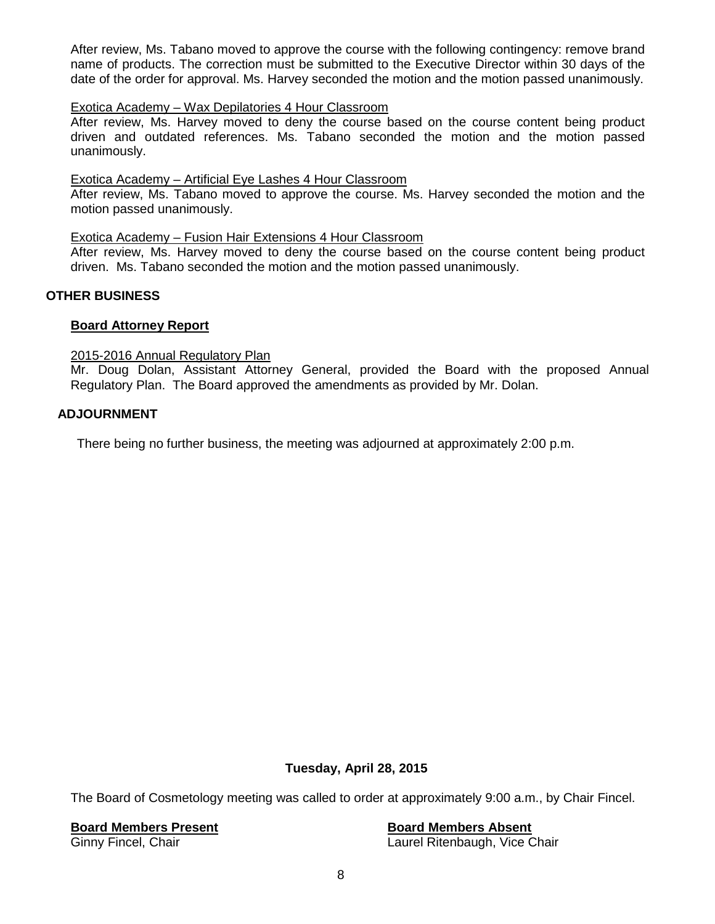After review, Ms. Tabano moved to approve the course with the following contingency: remove brand name of products. The correction must be submitted to the Executive Director within 30 days of the date of the order for approval. Ms. Harvey seconded the motion and the motion passed unanimously.

## Exotica Academy – Wax Depilatories 4 Hour Classroom

After review, Ms. Harvey moved to deny the course based on the course content being product driven and outdated references. Ms. Tabano seconded the motion and the motion passed unanimously.

### Exotica Academy – Artificial Eye Lashes 4 Hour Classroom

After review, Ms. Tabano moved to approve the course. Ms. Harvey seconded the motion and the motion passed unanimously.

### Exotica Academy – Fusion Hair Extensions 4 Hour Classroom

After review, Ms. Harvey moved to deny the course based on the course content being product driven. Ms. Tabano seconded the motion and the motion passed unanimously.

### **OTHER BUSINESS**

### **Board Attorney Report**

### 2015-2016 Annual Regulatory Plan

Mr. Doug Dolan, Assistant Attorney General, provided the Board with the proposed Annual Regulatory Plan. The Board approved the amendments as provided by Mr. Dolan.

### **ADJOURNMENT**

There being no further business, the meeting was adjourned at approximately 2:00 p.m.

# **Tuesday, April 28, 2015**

The Board of Cosmetology meeting was called to order at approximately 9:00 a.m., by Chair Fincel.

#### **Board Members Present Board Members Absent**

Ginny Fincel, Chair **Laurel Ritenbaugh, Vice Chair** Laurel Ritenbaugh, Vice Chair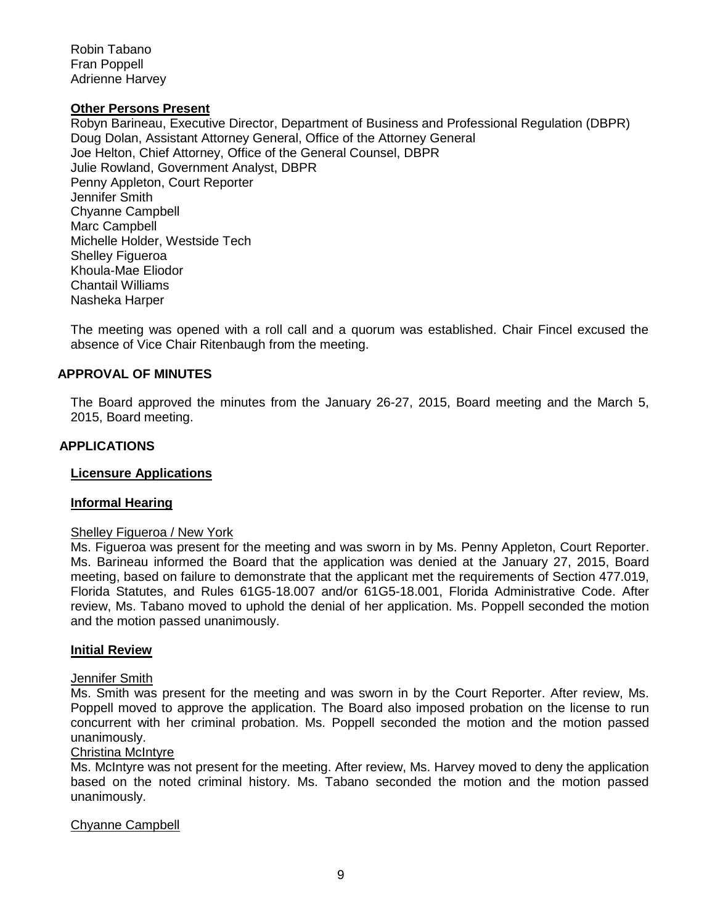Robin Tabano Fran Poppell Adrienne Harvey

#### **Other Persons Present**

Robyn Barineau, Executive Director, Department of Business and Professional Regulation (DBPR) Doug Dolan, Assistant Attorney General, Office of the Attorney General Joe Helton, Chief Attorney, Office of the General Counsel, DBPR Julie Rowland, Government Analyst, DBPR Penny Appleton, Court Reporter Jennifer Smith Chyanne Campbell Marc Campbell Michelle Holder, Westside Tech Shelley Figueroa Khoula-Mae Eliodor Chantail Williams Nasheka Harper

The meeting was opened with a roll call and a quorum was established. Chair Fincel excused the absence of Vice Chair Ritenbaugh from the meeting.

#### **APPROVAL OF MINUTES**

The Board approved the minutes from the January 26-27, 2015, Board meeting and the March 5, 2015, Board meeting.

#### **APPLICATIONS**

#### **Licensure Applications**

#### **Informal Hearing**

#### Shelley Figueroa / New York

Ms. Figueroa was present for the meeting and was sworn in by Ms. Penny Appleton, Court Reporter. Ms. Barineau informed the Board that the application was denied at the January 27, 2015, Board meeting, based on failure to demonstrate that the applicant met the requirements of Section 477.019, Florida Statutes, and Rules 61G5-18.007 and/or 61G5-18.001, Florida Administrative Code. After review, Ms. Tabano moved to uphold the denial of her application. Ms. Poppell seconded the motion and the motion passed unanimously.

#### **Initial Review**

#### Jennifer Smith

Ms. Smith was present for the meeting and was sworn in by the Court Reporter. After review, Ms. Poppell moved to approve the application. The Board also imposed probation on the license to run concurrent with her criminal probation. Ms. Poppell seconded the motion and the motion passed unanimously.

# Christina McIntyre

Ms. McIntyre was not present for the meeting. After review, Ms. Harvey moved to deny the application based on the noted criminal history. Ms. Tabano seconded the motion and the motion passed unanimously.

#### Chyanne Campbell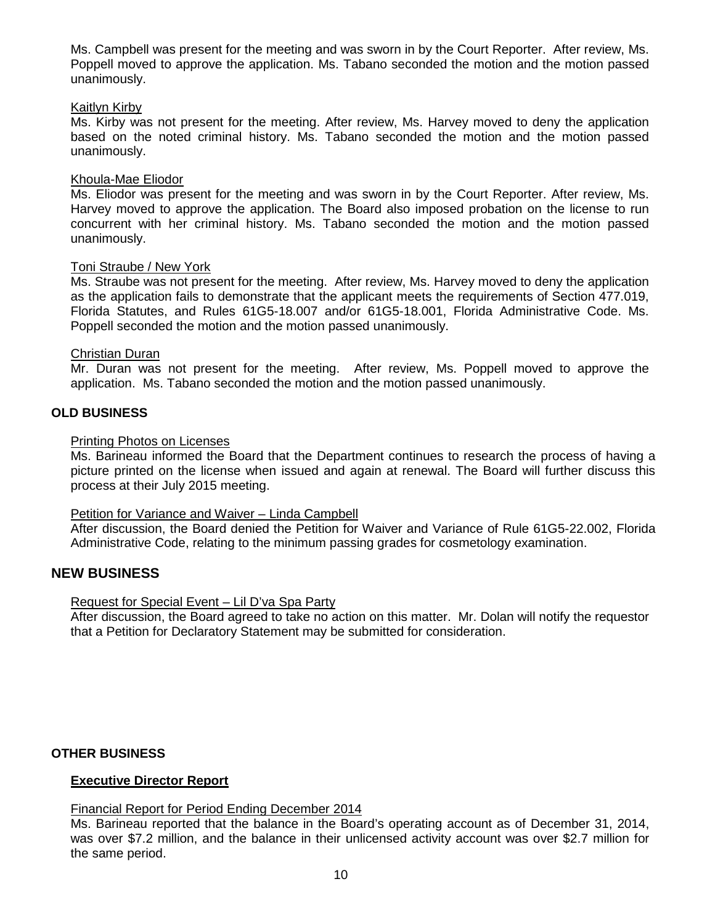Ms. Campbell was present for the meeting and was sworn in by the Court Reporter. After review, Ms. Poppell moved to approve the application. Ms. Tabano seconded the motion and the motion passed unanimously.

### Kaitlyn Kirby

Ms. Kirby was not present for the meeting. After review, Ms. Harvey moved to deny the application based on the noted criminal history. Ms. Tabano seconded the motion and the motion passed unanimously.

### Khoula-Mae Eliodor

Ms. Eliodor was present for the meeting and was sworn in by the Court Reporter. After review, Ms. Harvey moved to approve the application. The Board also imposed probation on the license to run concurrent with her criminal history. Ms. Tabano seconded the motion and the motion passed unanimously.

#### Toni Straube / New York

Ms. Straube was not present for the meeting. After review, Ms. Harvey moved to deny the application as the application fails to demonstrate that the applicant meets the requirements of Section 477.019, Florida Statutes, and Rules 61G5-18.007 and/or 61G5-18.001, Florida Administrative Code. Ms. Poppell seconded the motion and the motion passed unanimously.

#### Christian Duran

Mr. Duran was not present for the meeting. After review, Ms. Poppell moved to approve the application. Ms. Tabano seconded the motion and the motion passed unanimously.

### **OLD BUSINESS**

#### Printing Photos on Licenses

Ms. Barineau informed the Board that the Department continues to research the process of having a picture printed on the license when issued and again at renewal. The Board will further discuss this process at their July 2015 meeting.

### Petition for Variance and Waiver – Linda Campbell

After discussion, the Board denied the Petition for Waiver and Variance of Rule 61G5-22.002, Florida Administrative Code, relating to the minimum passing grades for cosmetology examination.

## **NEW BUSINESS**

### Request for Special Event – Lil D'va Spa Party

After discussion, the Board agreed to take no action on this matter. Mr. Dolan will notify the requestor that a Petition for Declaratory Statement may be submitted for consideration.

### **OTHER BUSINESS**

### **Executive Director Report**

### Financial Report for Period Ending December 2014

Ms. Barineau reported that the balance in the Board's operating account as of December 31, 2014, was over \$7.2 million, and the balance in their unlicensed activity account was over \$2.7 million for the same period.